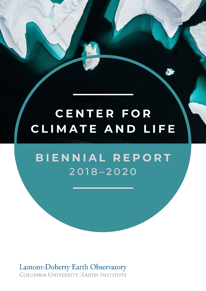# **C E N T E R F O R C L I M A T E A N D L I F E**

## **B I E N N I A L R E P O R T** 2 0 1 8 – 2 0 2 0

**Lamont-Doherty Earth Observatory** COLUMBIA UNIVERSITY | EARTH INSTITUTE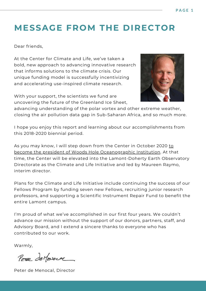## **MESSAGE FROM THE DIRECTOR**

Dear friends,

At the Center for Climate and Life, we've taken a bold, new approach to advancing innovative research that informs solutions to the climate crisis. Our unique funding model is successfully incentivizing and accelerating use-inspired climate research.

With your support, the scientists we fund are uncovering the future of the Greenland Ice Sheet,



advancing understanding of the polar vortex and other extreme weather, closing the air pollution data gap in Sub-Saharan Africa, and so much more.

I hope you enjoy this report and learning about our accomplishments from this 2018-2020 biennial period.

[As you may know, I will step down from the Center in October 2020 to](https://www.whoi.edu/press-room/news-release/whoi-names-peter-de-menocal-president-and-director/) become the president of Woods Hole Oceanographic Institution. At that time, the Center will be elevated into the Lamont-Doherty Earth Observatory Directorate as the Climate and Life Initiative and led by Maureen Raymo, interim director.

Plans for the Climate and Life Initiative include continuing the success of our Fellows Program by funding seven new Fellows, recruiting junior research professors, and supporting a Scientific Instrument Repair Fund to benefit the entire Lamont campus.

I'm proud of what we've accomplished in our first four years. We couldn't advance our mission without the support of our donors, partners, staff, and Advisory Board, and I extend a sincere thanks to everyone who has contributed to our work.

Warmly,

PETER deMENDER

Peter de Menocal, Director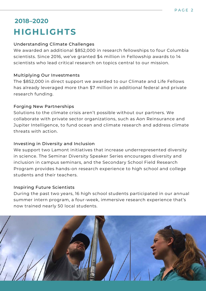### **2018–2020 HIGHLIGHTS**

#### Understanding Climate Challenges

We awarded an additional \$852,000 in research fellowships to four Columbia scientists. Since 2016, we've granted \$4 million in Fellowship awards to 14 scientists who lead critical research on topics central to our mission.

#### Multiplying Our Investments

The \$852,000 in direct support we awarded to our Climate and Life Fellows has already leveraged more than \$7 million in additional federal and private research funding.

#### Forging New Partnerships

Solutions to the climate crisis aren't possible without our partners. We collaborate with private sector organizations, such as Aon Reinsurance and Jupiter Intelligence, to fund ocean and climate research and address climate threats with action.

#### Investing in Diversity and Inclusion

We support two Lamont initiatives that increase underrepresented diversity in science. The Seminar Diversity Speaker Series encourages diversity and inclusion in campus seminars, and the Secondary School Field Research Program provides hands-on research experience to high school and college students and their teachers.

#### Inspiring Future Scientists

During the past two years, 16 high school students participated in our annual summer intern program, a four-week, immersive research experience that's now trained nearly 50 local students.

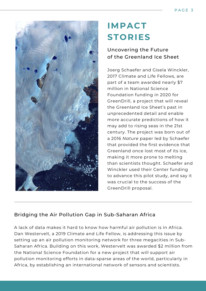

## **IMPACT STORIES**

### Uncovering the Future of the Greenland Ice Sheet

Joerg Schaefer and Gisela Winckler, 2017 Climate and Life Fellows, are part of a team awarded nearly \$7 million in National Science Foundation funding in 2020 for GreenDrill, a project that will reveal the Greenland Ice Sheet's past in unprecedented detail and enable more accurate predictions of how it may add to rising seas in the 21st century. The project was born out of a 2016 *Nature* paper led by Schaefer that provided the first evidence that Greenland once lost most of its ice, making it more prone to melting than scientists thought. Schaefer and Winckler used their Center funding to advance this pilot study, and say it was crucial to the success of the GreenDrill proposal.

### Bridging the Air Pollution Gap in Sub-Saharan Africa

A lack of data makes it hard to know how harmful air pollution is in Africa. Dan Westervelt, a 2019 Climate and Life Fellow, is addressing this issue by setting up an air pollution monitoring network for three megacities in Sub-Saharan Africa. Building on this work, Westervelt was awarded \$2 million from the National Science Foundation for a new project that will support air pollution monitoring efforts in data-sparse areas of the world, particularly in Africa, by establishing an international network of sensors and scientists.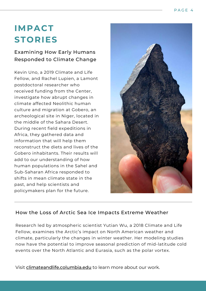## **IMPACT STORIES**

Examining How Early Humans Responded to Climate Change

Kevin Uno, a 2019 Climate and Life Fellow, and Rachel Lupien, a Lamont postdoctoral researcher who received funding from the Center, investigate how abrupt changes in climate affected Neolithic human culture and migration at Gobero, an archeological site in Niger, located in the middle of the Sahara Desert. During recent field expeditions in Africa, they gathered data and information that will help them reconstruct the diets and lives of the Gobero inhabitants. Their results will add to our understanding of how human populations in the Sahel and Sub-Saharan Africa responded to shifts in mean climate state in the past, and help scientists and policymakers plan for the future.



### How the Loss of Arctic Sea Ice Impacts Extreme Weather

Research led by atmospheric scientist Yutian Wu, a 2018 Climate and Life Fellow, examines the Arctic's impact on North American weather and climate, particularly the changes in winter weather. Her modeling studies now have the potential to improve seasonal prediction of mid-latitude cold events over the North Atlantic and Eurasia, such as the polar vortex.

Visit [climateandlife.columbia.edu](http://climateandlife.columbia.edu/) to learn more about our work.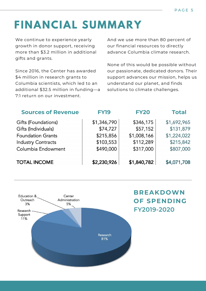# **FINANCIAL SUMMARY**

We continue to experience yearly growth in donor support, receiving more than \$3.2 million in additional gifts and grants.

Since 2016, the Center has awarded \$4 million in research grants to Columbia scientists, which led to an additional \$32.5 million in funding—a 7:1 return on our investment.

And we use more than 80 percent of our financial resources to directly advance Columbia climate research.

None of this would be possible without our passionate, dedicated donors. Their support advances our mission, helps us understand our planet, and finds solutions to climate challenges.

| <b>Sources of Revenue</b> | <b>FY19</b> | <b>FY20</b> | <b>Total</b> |
|---------------------------|-------------|-------------|--------------|
| Gifts (Foundations)       | \$1,346,790 | \$346,175   | \$1,692,965  |
| Gifts (Individuals)       | \$74,727    | \$57,152    | \$131,879    |
| <b>Foundation Grants</b>  | \$215,856   | \$1,008,166 | \$1,224,022  |
| <b>Industry Contracts</b> | \$103,553   | \$112,289   | \$215,842    |
| Columbia Endowment        | \$490,000   | \$317,000   | \$807,000    |
| <b>TOTAL INCOME</b>       | \$2,230,926 | \$1,840,782 | \$4,071,708  |



**FY2019-2020 BREAKDOWN OF SPENDING**